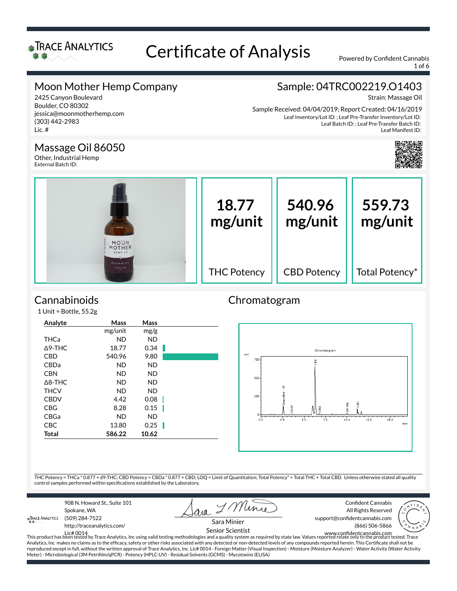

1 of 6

### Moon Mother Hemp Company

#### 2425 Canyon Boulevard Boulder, CO 80302 jessica@moonmotherhemp.com (303) 442-2983 Lic. #

Sample: 04TRC002219.O1403

Strain: Massage Oil

Leaf Inventory/Lot ID: ; Leaf Pre-Transfer Inventory/Lot ID: Leaf Batch ID: ; Leaf Pre-Transfer Batch ID: Leaf Manifest ID: Sample Received: 04/04/2019; Report Created: 04/16/2019



#### Massage Oil 86050

Other, Industrial Hemp External Batch ID:



### **Cannabinoids**

1 Unit = Bottle, 55.2g

| Analyte | Mass    | Mass      |  |
|---------|---------|-----------|--|
|         | mg/unit | mg/g      |  |
| THCa    | ND.     | <b>ND</b> |  |
| ∆9-THC  | 18.77   | 0.34      |  |
| CBD     | 540.96  | 9.80      |  |
| CBDa    | ND.     | <b>ND</b> |  |
| CBN     | ND.     | <b>ND</b> |  |
| ∆8-THC  | ND.     | <b>ND</b> |  |
| THCV    | ND.     | <b>ND</b> |  |
| CBDV    | 4.42    | 0.08      |  |
| CBG     | 8.28    | 0.15      |  |
| CBGa    | ND.     | <b>ND</b> |  |
| CBC     | 13.80   | 0.25      |  |
| Total   | 586.22  | 10.62     |  |
|         |         |           |  |

#### Chromatogram



THC Potency = THCa \* 0.877 + d9-THC; CBD Potency = CBDa \* 0.877 + CBD; LOQ = Limit of Quantitation; Total Potency\* = Total THC + Total CBD. Unless otherwise stated all quality control samples performed within specifications established by the Laboratory.

908 N. Howard St., Suite 101 Spokane, WA **TRACE ANALYTICS** (509) 284-7522

ava I Mine

Confident Cannabis All Rights Reserved



http://traceanalytics.com/

Sara Minier Senior Scientist support@confidentcannabis.com (866) 506-5866



Lic# 0014 This product has been tested by Trace Analytics, Inc using valid testing methodologies and a quality system as required by state law. Values reported relate only to the product tested. Trace www.con×dentcannabis.com Analytics, Inc makes no claims as to the efficacy, safety or other risks associated with any detected or non-detected levels of any compounds reported herein. This Certificate shall not be reproduced except in full, without the written approval of Trace Analytics, Inc. Lic# 0014 - Foreign Matter (Visual Inspection) - Moisture (Moisture Analyzer) - Water Activity (Water Activity Meter) - Microbiological (3M Petrifilm/qPCR) - Potency (HPLC-UV) - Residual Solvents (GCMS) - Mycotoxins (ELISA)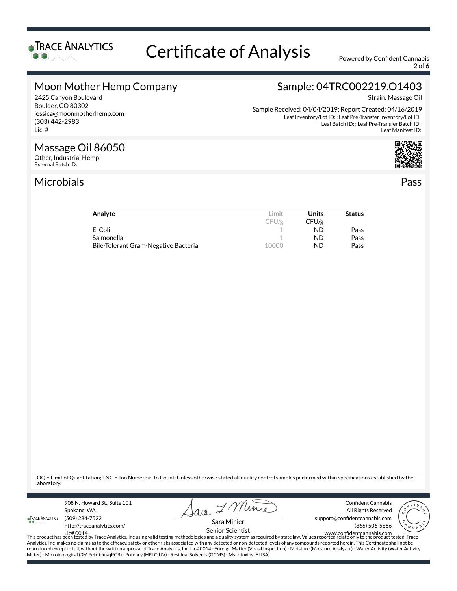

2 of 6

#### Moon Mother Hemp Company

2425 Canyon Boulevard Boulder, CO 80302 jessica@moonmotherhemp.com (303) 442-2983 Lic. #

### Sample: 04TRC002219.O1403

Strain: Massage Oil

Leaf Inventory/Lot ID: ; Leaf Pre-Transfer Inventory/Lot ID: Leaf Batch ID: ; Leaf Pre-Transfer Batch ID: Leaf Manifest ID: Sample Received: 04/04/2019; Report Created: 04/16/2019

#### Massage Oil 86050

Other, Industrial Hemp External Batch ID:

#### Microbials Pass



| Analyte                              | .imit | Units | <b>Status</b> |
|--------------------------------------|-------|-------|---------------|
|                                      | CFU/g | CFU/g |               |
| E. Coli                              |       | ND    | Pass          |
| Salmonella                           |       | ND.   | Pass          |
| Bile-Tolerant Gram-Negative Bacteria | 10000 | ND.   | Pass          |

LOQ = Limit of Quantitation; TNC = Too Numerous to Count; Unless otherwise stated all quality control samples performed within specifications established by the Laboratory.

908 N. Howard St., Suite 101 Spokane, WA **TRACE ANALYTICS** (509) 284-7522 http://traceanalytics.com/

ava I Mine

Confident Cannabis All Rights Reserved support@confidentcannabis.com (866) 506-5866



Sara Minier

مستعدد العربية المستعدد العربية المستعدد العربية المستعدد العربية المستعدد العربية المستعدد العربية المستعدد ا<br>This product has been tested by Trace Analytics, Inc using valid testing methodologies and a quality system as Analytics, Inc makes no claims as to the efficacy, safety or other risks associated with any detected or non-detected levels of any compounds reported herein. This Certificate shall not be reproduced except in full, without the written approval of Trace Analytics, Inc. Lic# 0014 - Foreign Matter (Visual Inspection) - Moisture (Moisture Analyzer) - Water Activity (Water Activity Meter) - Microbiological (3M Petrifilm/qPCR) - Potency (HPLC-UV) - Residual Solvents (GCMS) - Mycotoxins (ELISA)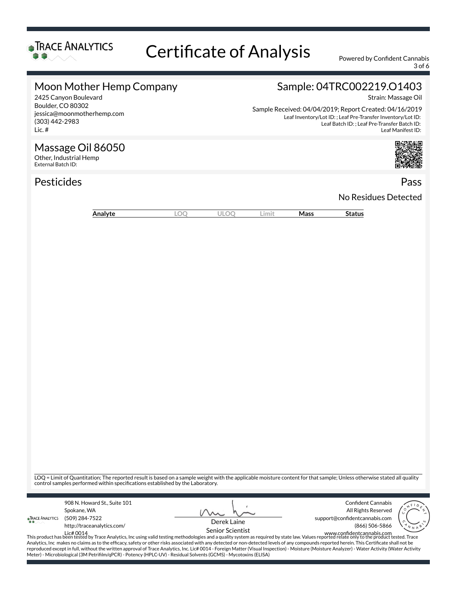

3 of 6

#### Moon Mother Hemp Company

#### 2425 Canyon Boulevard Boulder, CO 80302 jessica@moonmotherhemp.com (303) 442-2983 Lic. #

Massage Oil 86050

Other, Industrial Hemp External Batch ID:

## Sample: 04TRC002219.O1403

Strain: Massage Oil

Leaf Inventory/Lot ID: ; Leaf Pre-Transfer Inventory/Lot ID: Leaf Batch ID: ; Leaf Pre-Transfer Batch ID: Leaf Manifest ID: Sample Received: 04/04/2019; Report Created: 04/16/2019

Pesticides **Passage Contract Contract Contract Contract Contract Contract Contract Contract Contract Contract Contract Contract Contract Contract Contract Contract Contract Contract Contract Contract Contract Contract Cont** No Residues Detected

| Analyte | ĸ<br>∼<br>◡ | $\sim$<br>$\sim$ | im it l | Mass | Status |
|---------|-------------|------------------|---------|------|--------|

LOQ = Limit of Quantitation; The reported result is based on a sample weight with the applicable moisture content for that sample; Unless otherwise stated all quality control samples performed within specifications established by the Laboratory.

| Confident Cannabis<br>908 N. Howard St., Suite 101<br>All Rights Reserved<br>Spokane, WA                                                                                                        |                                |
|-------------------------------------------------------------------------------------------------------------------------------------------------------------------------------------------------|--------------------------------|
| support@confidentcannabis.com<br>(509) 284-7522<br><b>TRACE ANALYTICS</b><br>Derek Laine<br>$\bullet$ $\bullet$ $\sim$                                                                          |                                |
| http://traceanalytics.com/<br>(866) 506-5866<br>Senior Scientist                                                                                                                                | $\overline{\mathcal{N}_{N,k}}$ |
| www.confidentcannabis.com<br>Lic# 0014                                                                                                                                                          |                                |
| This product has been tested by Trace Analytics, Inc using valid testing methodologies and a quality system as required by state law. Values reported relate only to the product tested. Trace  |                                |
| Analytics, Inc makes no claims as to the efficacy, safety or other risks associated with any detected or non-detected levels of any compounds reported herein. This Certificate shall not be    |                                |
| reproduced except in full, without the written approval of Trace Analytics, Inc. Lic# 0014 - Foreign Matter (Visual Inspection) - Moisture (Moisture Analyzer) - Water Activity (Water Activity |                                |

Meter) - Microbiological (3M Petrifilm/qPCR) - Potency (HPLC-UV) - Residual Solvents (GCMS) - Mycotoxins (ELISA)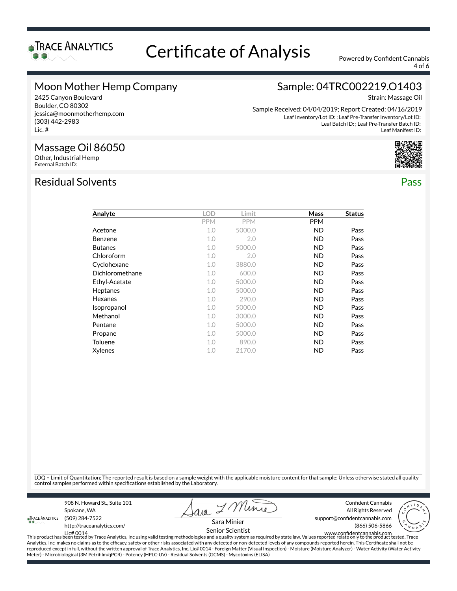

4 of 6

#### Moon Mother Hemp Company

#### 2425 Canyon Boulevard Boulder, CO 80302 jessica@moonmotherhemp.com (303) 442-2983 Lic. #

### Sample: 04TRC002219.O1403

Strain: Massage Oil

Leaf Inventory/Lot ID: ; Leaf Pre-Transfer Inventory/Lot ID: Leaf Batch ID: ; Leaf Pre-Transfer Batch ID: Leaf Manifest ID: Sample Received: 04/04/2019; Report Created: 04/16/2019



### Massage Oil 86050

Other, Industrial Hemp External Batch ID:

#### Residual Solvents Pass

| Analyte         | <b>LOD</b> | Limit      | Mass       | <b>Status</b> |
|-----------------|------------|------------|------------|---------------|
|                 | <b>PPM</b> | <b>PPM</b> | <b>PPM</b> |               |
| Acetone         | 1.0        | 5000.0     | ND.        | Pass          |
| Benzene         | 1.0        | 2.0        | ND.        | Pass          |
| <b>Butanes</b>  | 1.0        | 5000.0     | ND.        | Pass          |
| Chloroform      | 1.0        | 2.0        | ND.        | Pass          |
| Cyclohexane     | 1.0        | 3880.0     | ND.        | Pass          |
| Dichloromethane | 1.0        | 600.0      | ND.        | Pass          |
| Ethyl-Acetate   | 1.0        | 5000.0     | ND.        | Pass          |
| Heptanes        | 1.0        | 5000.0     | ND.        | Pass          |
| Hexanes         | 1.0        | 290.0      | <b>ND</b>  | Pass          |
| Isopropanol     | 1.0        | 5000.0     | ND.        | Pass          |
| Methanol        | 1.0        | 3000.0     | ND.        | Pass          |
| Pentane         | 1.0        | 5000.0     | ND.        | Pass          |
| Propane         | 1.0        | 5000.0     | ND.        | Pass          |
| Toluene         | 1.0        | 890.0      | ND.        | Pass          |
| Xylenes         | 1.0        | 2170.0     | ND         | Pass          |

LOQ = Limit of Quantitation; The reported result is based on a sample weight with the applicable moisture content for that sample; Unless otherwise stated all quality control samples performed within specifications established by the Laboratory.

908 N. Howard St., Suite 101 Spokane, WA **TRACE ANALYTICS** (509) 284-7522

ava I Mine

Confident Cannabis All Rights Reserved support@confidentcannabis.com (866) 506-5866



http://traceanalytics.com/

Sara Minier Senior Scientist

Lic# 0014 This product has been tested by Trace Analytics, Inc using valid testing methodologies and a quality system as required by state law. Values reported relate only to the product tested. Trace www.con×dentcannabis.com Analytics, Inc makes no claims as to the efficacy, safety or other risks associated with any detected or non-detected levels of any compounds reported herein. This Certificate shall not be reproduced except in full, without the written approval of Trace Analytics, Inc. Lic# 0014 - Foreign Matter (Visual Inspection) - Moisture (Moisture Analyzer) - Water Activity (Water Activity Meter) - Microbiological (3M Petrifilm/qPCR) - Potency (HPLC-UV) - Residual Solvents (GCMS) - Mycotoxins (ELISA)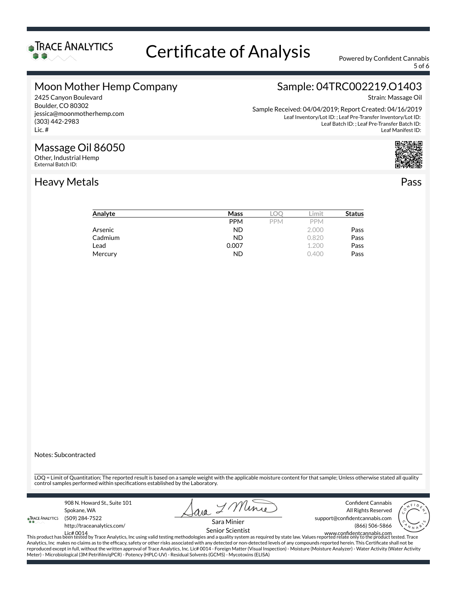

5 of 6

### Moon Mother Hemp Company

#### 2425 Canyon Boulevard Boulder, CO 80302 jessica@moonmotherhemp.com (303) 442-2983 Lic. #

Massage Oil 86050

Other, Industrial Hemp External Batch ID:

## Sample: 04TRC002219.O1403

Strain: Massage Oil

Leaf Inventory/Lot ID: ; Leaf Pre-Transfer Inventory/Lot ID: Leaf Batch ID: ; Leaf Pre-Transfer Batch ID: Leaf Manifest ID: Sample Received: 04/04/2019; Report Created: 04/16/2019



#### Heavy Metals Pass

#### Analyte **Mass** LOQ Limit **Status** PPM PPM PPM Arsenic **Arsenic Contract Contract Contract Contract Contract Contract Contract Contract Contract Contract Contract Contract Contract Contract Contract Contract Contract Contract Contract Contract Contract Contract Contrac Cadmium Cadmium Cadmium Cadmium ND** 0.820 **Pass Lead** 2.200 **Pass** Mercury **ND** 0.400 **Pass**

Notes: Subcontracted

LOQ = Limit of Quantitation; The reported result is based on a sample weight with the applicable moisture content for that sample; Unless otherwise stated all quality control samples performed within specifications established by the Laboratory.

908 N. Howard St., Suite 101 Spokane, WA **TRACE ANALYTICS** (509) 284-7522 http://traceanalytics.com/

I Mine ava

Confident Cannabis All Rights Reserved support@confidentcannabis.com (866) 506-5866



Sara Minier Senior Scientist

Lic# 0014 This product has been tested by Trace Analytics, Inc using valid testing methodologies and a quality system as required by state law. Values reported relate only to the product tested. Trace www.con×dentcannabis.com Analytics, Inc makes no claims as to the efficacy, safety or other risks associated with any detected or non-detected levels of any compounds reported herein. This Certificate shall not be reproduced except in full, without the written approval of Trace Analytics, Inc. Lic# 0014 - Foreign Matter (Visual Inspection) - Moisture (Moisture Analyzer) - Water Activity (Water Activity Meter) - Microbiological (3M Petrifilm/qPCR) - Potency (HPLC-UV) - Residual Solvents (GCMS) - Mycotoxins (ELISA)